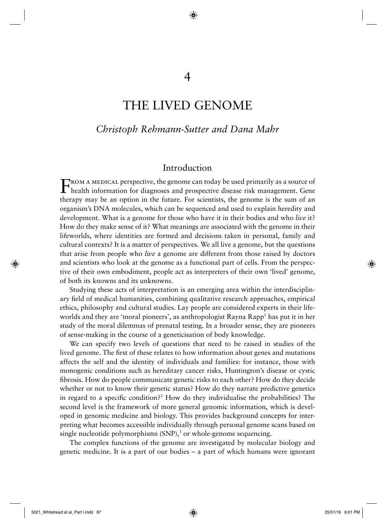## 4

⊕

# THE LIVED GENOME

### *Christoph Rehmann-Sutter and Dana Mahr*

### Introduction

FROM A MEDICAL perspective, the genome can today be used primarily as a source of health information for diagnoses and prospective disease risk management. Gene therapy may be an option in the future. For scientists, the genome is the sum of an organism's DNA molecules, which can be sequenced and used to explain heredity and development. What is a genome for those who have it in their bodies and who *live* it? How do they make sense of it? What meanings are associated with the genome in their lifeworlds, where identities are formed and decisions taken in personal, family and cultural contexts? It is a matter of perspectives. We all live a genome, but the questions that arise from people who *live* a genome are different from those raised by doctors and scientists who look at the genome as a functional part of cells. From the perspective of their own embodiment, people act as interpreters of their own 'lived' genome, of both its knowns and its unknowns.

Studying these acts of interpretation is an emerging area within the interdisciplinary field of medical humanities, combining qualitative research approaches, empirical ethics, philosophy and cultural studies. Lay people are considered experts in their lifeworlds and they are 'moral pioneers', as anthropologist Rayna Rapp<sup>1</sup> has put it in her study of the moral dilemmas of prenatal testing. In a broader sense, they are pioneers of sense-making in the course of a geneticisation of body knowledge.

We can specify two levels of questions that need to be raised in studies of the lived genome. The first of these relates to how information about genes and mutations affects the self and the identity of individuals and families: for instance, those with monogenic conditions such as hereditary cancer risks, Huntington's disease or cystic fibrosis. How do people communicate genetic risks to each other? How do they decide whether or not to know their genetic status? How do they narrate predictive genetics in regard to a specific condition?<sup>2</sup> How do they individualise the probabilities? The second level is the framework of more general genomic information, which is developed in genomic medicine and biology. This provides background concepts for interpreting what becomes accessible individually through personal genome scans based on single nucleotide polymorphisms  $(SNP)$ ,<sup>3</sup> or whole-genome sequencing.

The complex functions of the genome are investigated by molecular biology and genetic medicine. It is a part of our bodies – a part of which humans were ignorant

⊕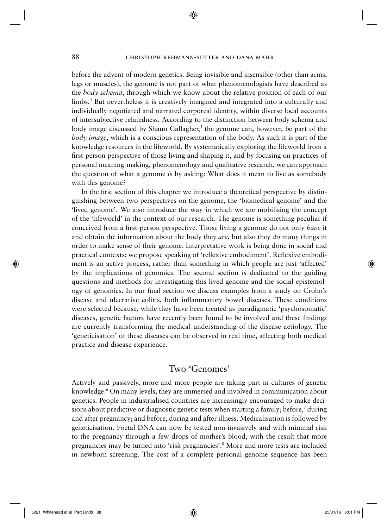⊕

before the advent of modern genetics. Being invisible and insensible (other than arms, legs or muscles), the genome is not part of what phenomenologists have described as the *body schema*, through which we know about the relative position of each of our limbs.<sup>4</sup> But nevertheless it is creatively imagined and integrated into a culturally and individually negotiated and narrated corporeal identity, within diverse local accounts of intersubjective relatedness. According to the distinction between body schema and body image discussed by Shaun Gallagher,<sup>5</sup> the genome can, however, be part of the *body image*, which is a conscious representation of the body. As such it is part of the knowledge resources in the lifeworld. By systematically exploring the lifeworld from a first-person perspective of those living and shaping it, and by focusing on practices of personal meaning-making, phenomenology and qualitative research, we can approach the question of what a genome *is* by asking: What does it mean to live as somebody with this genome?

In the first section of this chapter we introduce a theoretical perspective by distinguishing between two perspectives on the genome, the 'biomedical genome' and the 'lived genome'. We also introduce the way in which we are mobilising the concept of the 'lifeworld' in the context of our research. The genome is something peculiar if conceived from a first-person perspective. Those living a genome do not only *have* it and obtain the information about the body they *are*, but also they *do* many things in order to make sense of their genome. Interpretative work is being done in social and practical contexts; we propose speaking of 'reflexive embodiment'. Reflexive embodiment is an active process, rather than something in which people are just 'affected' by the implications of genomics. The second section is dedicated to the guiding questions and methods for investigating this lived genome and the social epistemology of genomics. In our final section we discuss examples from a study on Crohn's disease and ulcerative colitis, both inflammatory bowel diseases. These conditions were selected because, while they have been treated as paradigmatic 'psychosomatic' diseases, genetic factors have recently been found to be involved and these findings are currently transforming the medical understanding of the disease aetiology. The 'geneticisation' of these diseases can be observed in real time, affecting both medical practice and disease experience.

### Two 'Genomes'

Actively and passively, more and more people are taking part in cultures of genetic knowledge.<sup>6</sup> On many levels, they are immersed and involved in communication about genetics. People in industrialised countries are increasingly encouraged to make decisions about predictive or diagnostic genetic tests when starting a family; before,<sup>7</sup> during and after pregnancy; and before, during and after illness. Medicalisation is followed by geneticisation. Foetal DNA can now be tested non-invasively and with minimal risk to the pregnancy through a few drops of mother's blood, with the result that more pregnancies may be turned into 'risk pregnancies'.<sup>8</sup> More and more tests are included in newborn screening. The cost of a complete personal genome sequence has been

 $\bigcirc$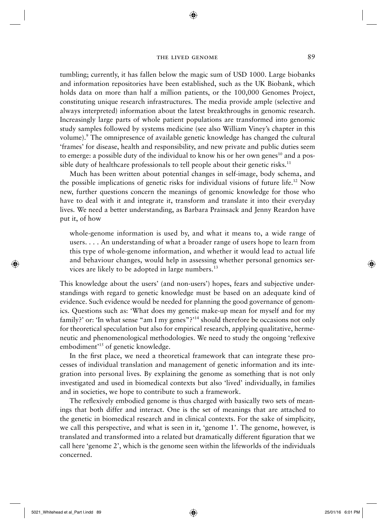◈

tumbling; currently, it has fallen below the magic sum of USD 1000. Large biobanks and information repositories have been established, such as the UK Biobank, which holds data on more than half a million patients, or the 100,000 Genomes Project, constituting unique research infrastructures. The media provide ample (selective and always interpreted) information about the latest breakthroughs in genomic research. Increasingly large parts of whole patient populations are transformed into genomic study samples followed by systems medicine (see also William Viney's chapter in this volume).<sup>9</sup> The omnipresence of available genetic knowledge has changed the cultural 'frames' for disease, health and responsibility, and new private and public duties seem to emerge: a possible duty of the individual to know his or her own genes<sup>10</sup> and a possible duty of healthcare professionals to tell people about their genetic risks.<sup>11</sup>

Much has been written about potential changes in self-image, body schema, and the possible implications of genetic risks for individual visions of future life.<sup>12</sup> Now new, further questions concern the meanings of genomic knowledge for those who have to deal with it and integrate it, transform and translate it into their everyday lives. We need a better understanding, as Barbara Prainsack and Jenny Reardon have put it, of how

whole-genome information is used by, and what it means to, a wide range of users. . . . An understanding of what a broader range of users hope to learn from this type of whole-genome information, and whether it would lead to actual life and behaviour changes, would help in assessing whether personal genomics services are likely to be adopted in large numbers.<sup>13</sup>

This knowledge about the users' (and non-users') hopes, fears and subjective understandings with regard to genetic knowledge must be based on an adequate kind of evidence. Such evidence would be needed for planning the good governance of genomics. Questions such as: 'What does my genetic make-up mean for myself and for my family?' or: 'In what sense "am I my genes"?'<sup>14</sup> should therefore be occasions not only for theoretical speculation but also for empirical research, applying qualitative, hermeneutic and phenomenological methodologies. We need to study the ongoing 'reflexive embodiment<sup>15</sup> of genetic knowledge.

In the first place, we need a theoretical framework that can integrate these processes of individual translation and management of genetic information and its integration into personal lives. By explaining the genome as something that is not only investigated and used in biomedical contexts but also 'lived' individually, in families and in societies, we hope to contribute to such a framework.

The reflexively embodied genome is thus charged with basically two sets of meanings that both differ and interact. One is the set of meanings that are attached to the genetic in biomedical research and in clinical contexts. For the sake of simplicity, we call this perspective, and what is seen in it, 'genome 1'. The genome, however, is translated and transformed into a related but dramatically different figuration that we call here 'genome 2', which is the genome seen within the lifeworlds of the individuals concerned.

 $\bigcirc$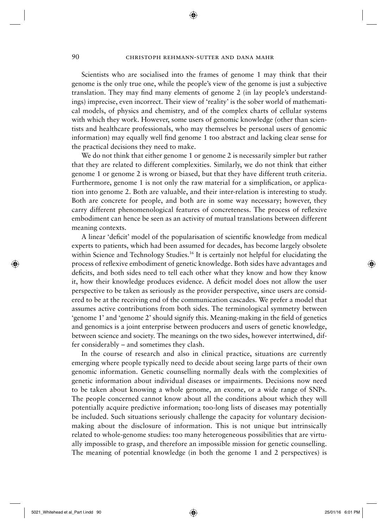⊕

Scientists who are socialised into the frames of genome 1 may think that their genome is the only true one, while the people's view of the genome is just a subjective translation. They may find many elements of genome 2 (in lay people's understandings) imprecise, even incorrect. Their view of 'reality' is the sober world of mathematical models, of physics and chemistry, and of the complex charts of cellular systems with which they work. However, some users of genomic knowledge (other than scientists and healthcare professionals, who may themselves be personal users of genomic information) may equally well find genome 1 too abstract and lacking clear sense for the practical decisions they need to make.

We do not think that either genome 1 or genome 2 is necessarily simpler but rather that they are related to different complexities. Similarly, we do not think that either genome 1 or genome 2 is wrong or biased, but that they have different truth criteria. Furthermore, genome 1 is not only the raw material for a simplification, or application into genome 2. Both are valuable, and their inter-relation is interesting to study. Both are concrete for people, and both are in some way necessary; however, they carry different phenomenological features of concreteness. The process of reflexive embodiment can hence be seen as an activity of mutual translations between different meaning contexts.

A linear 'deficit' model of the popularisation of scientific knowledge from medical experts to patients, which had been assumed for decades, has become largely obsolete within Science and Technology Studies.<sup>16</sup> It is certainly not helpful for elucidating the process of reflexive embodiment of genetic knowledge. Both sides have advantages and deficits, and both sides need to tell each other what they know and how they know it, how their knowledge produces evidence. A deficit model does not allow the user perspective to be taken as seriously as the provider perspective, since users are considered to be at the receiving end of the communication cascades. We prefer a model that assumes active contributions from both sides. The terminological symmetry between 'genome 1' and 'genome 2' should signify this. Meaning-making in the field of genetics and genomics is a joint enterprise between producers and users of genetic knowledge, between science and society. The meanings on the two sides, however intertwined, differ considerably – and sometimes they clash.

In the course of research and also in clinical practice, situations are currently emerging where people typically need to decide about seeing large parts of their own genomic information. Genetic counselling normally deals with the complexities of genetic information about individual diseases or impairments. Decisions now need to be taken about knowing a whole genome, an exome, or a wide range of SNPs. The people concerned cannot know about all the conditions about which they will potentially acquire predictive information; too-long lists of diseases may potentially be included. Such situations seriously challenge the capacity for voluntary decisionmaking about the disclosure of information. This is not unique but intrinsically related to whole-genome studies: too many heterogeneous possibilities that are virtually impossible to grasp, and therefore an impossible mission for genetic counselling. The meaning of potential knowledge (in both the genome 1 and 2 perspectives) is

⊕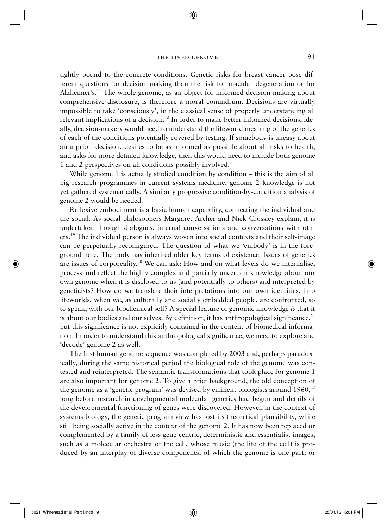◈

tightly bound to the concrete conditions. Genetic risks for breast cancer pose different questions for decision-making than the risk for macular degeneration or for Alzheimer's.<sup>17</sup> The whole genome, as an object for informed decision-making about comprehensive disclosure, is therefore a moral conundrum. Decisions are virtually impossible to take 'consciously', in the classical sense of properly understanding all relevant implications of a decision.<sup>18</sup> In order to make better-informed decisions, ideally, decision-makers would need to understand the lifeworld meaning of the genetics of each of the conditions potentially covered by testing. If somebody is uneasy about an a priori decision, desires to be as informed as possible about all risks to health, and asks for more detailed knowledge, then this would need to include both genome 1 and 2 perspectives on all conditions possibly involved.

While genome 1 is actually studied condition by condition – this is the aim of all big research programmes in current systems medicine, genome 2 knowledge is not yet gathered systematically. A similarly progressive condition-by-condition analysis of genome 2 would be needed.

Reflexive embodiment is a basic human capability, connecting the individual and the social. As social philosophers Margaret Archer and Nick Crossley explain, it is undertaken through dialogues, internal conversations and conversations with others.19 The individual person is always woven into social contexts and their self-image can be perpetually reconfigured. The question of what we 'embody' is in the foreground here. The body has inherited older key terms of existence. Issues of genetics are issues of corporeality.20 We can ask: How and on what levels do we internalise, process and reflect the highly complex and partially uncertain knowledge about our own genome when it is disclosed to us (and potentially to others) and interpreted by geneticists? How do we translate their interpretations into our own identities, into lifeworlds, when we, as culturally and socially embedded people, are confronted, so to speak, with our biochemical self? A special feature of genomic knowledge *is* that it is about our bodies and our selves. By definition, it has anthropological significance,<sup>21</sup> but this significance is not explicitly contained in the content of biomedical information. In order to understand this anthropological significance, we need to explore and 'decode' genome 2 as well.

The first human genome sequence was completed by 2003 and, perhaps paradoxically, during the same historical period the biological role of the genome was contested and reinterpreted. The semantic transformations that took place for genome 1 are also important for genome 2. To give a brief background, the old conception of the genome as a 'genetic program' was devised by eminent biologists around  $1960$ <sup>22</sup>, long before research in developmental molecular genetics had begun and details of the developmental functioning of genes were discovered. However, in the context of systems biology, the genetic program view has lost its theoretical plausibility, while still being socially active in the context of the genome 2. It has now been replaced or complemented by a family of less gene-centric, deterministic and essentialist images, such as a molecular orchestra of the cell, whose music (the life of the cell) is produced by an interplay of diverse components, of which the genome is one part; or

 $\bigcirc$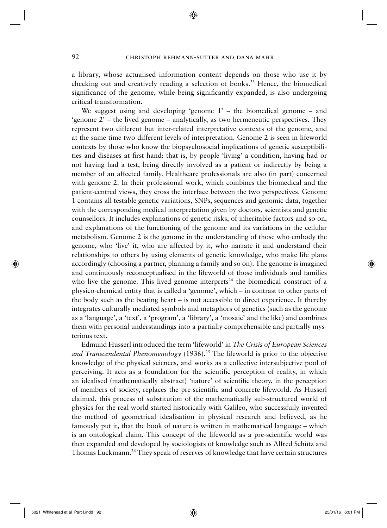◈

a library, whose actualised information content depends on those who use it by checking out and creatively reading a selection of books.<sup>23</sup> Hence, the biomedical significance of the genome, while being significantly expanded, is also undergoing critical transformation.

We suggest using and developing 'genome 1' – the biomedical genome – and 'genome 2' – the lived genome – analytically, as two hermeneutic perspectives. They represent two different but inter-related interpretative contexts of the genome, and at the same time two different levels of interpretation. Genome 2 is seen in lifeworld contexts by those who know the biopsychosocial implications of genetic susceptibilities and diseases at first hand: that is, by people 'living' a condition, having had or not having had a test, being directly involved as a patient or indirectly by being a member of an affected family. Healthcare professionals are also (in part) concerned with genome 2. In their professional work, which combines the biomedical and the patient-centred views, they cross the interface between the two perspectives. Genome 1 contains all testable genetic variations, SNPs, sequences and genomic data, together with the corresponding medical interpretation given by doctors, scientists and genetic counsellors. It includes explanations of genetic risks, of inheritable factors and so on, and explanations of the functioning of the genome and its variations in the cellular metabolism. Genome 2 is the genome in the understanding of those who embody the genome, who 'live' it, who are affected by it, who narrate it and understand their relationships to others by using elements of genetic knowledge, who make life plans accordingly (choosing a partner, planning a family and so on). The genome is imagined and continuously reconceptualised in the lifeworld of those individuals and families who live the genome. This lived genome interprets<sup>24</sup> the biomedical construct of a physico-chemical entity that is called a 'genome', which – in contrast to other parts of the body such as the beating heart – is not accessible to direct experience. It thereby integrates culturally mediated symbols and metaphors of genetics (such as the genome as a 'language', a 'text', a 'program', a 'library', a 'mosaic' and the like) and combines them with personal understandings into a partially comprehensible and partially mysterious text.

Edmund Husserl introduced the term 'lifeworld' in *The Crisis of European Sciences*  and Transcendental Phenomenology (1936).<sup>25</sup> The lifeworld is prior to the objective knowledge of the physical sciences, and works as a collective intersubjective pool of perceiving. It acts as a foundation for the scientific perception of reality, in which an idealised (mathematically abstract) 'nature' of scientific theory, in the perception of members of society, replaces the pre-scientific and concrete lifeworld. As Husserl claimed, this process of substitution of the mathematically sub-structured world of physics for the real world started historically with Galileo, who successfully invented the method of geometrical idealisation in physical research and believed, as he famously put it, that the book of nature is written in mathematical language – which is an ontological claim. This concept of the lifeworld as a pre-scientific world was then expanded and developed by sociologists of knowledge such as Alfred Schütz and Thomas Luckmann.<sup>26</sup> They speak of reserves of knowledge that have certain structures

 $\bigcirc$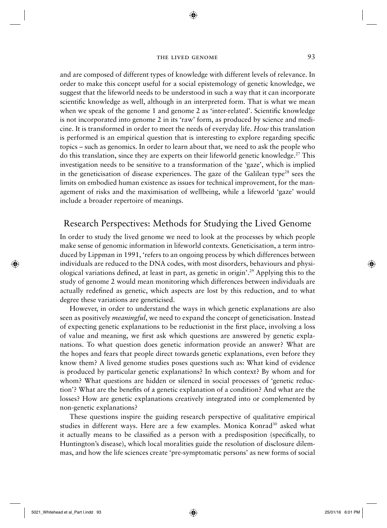◈

and are composed of different types of knowledge with different levels of relevance. In order to make this concept useful for a social epistemology of genetic knowledge, we suggest that the lifeworld needs to be understood in such a way that it can incorporate scientific knowledge as well, although in an interpreted form. That is what we mean when we speak of the genome 1 and genome 2 as 'inter-related'. Scientific knowledge is not incorporated into genome 2 in its 'raw' form, as produced by science and medicine. It is transformed in order to meet the needs of everyday life. *How* this translation is performed is an empirical question that is interesting to explore regarding specific topics – such as genomics. In order to learn about that, we need to ask the people who do this translation, since they are experts on their lifeworld genetic knowledge.<sup>27</sup> This investigation needs to be sensitive to a transformation of the 'gaze', which is implied in the geneticisation of disease experiences. The gaze of the Galilean type<sup>28</sup> sees the limits on embodied human existence as issues for technical improvement, for the management of risks and the maximisation of wellbeing, while a lifeworld 'gaze' would include a broader repertoire of meanings.

### Research Perspectives: Methods for Studying the Lived Genome

In order to study the lived genome we need to look at the processes by which people make sense of genomic information in lifeworld contexts. Geneticisation, a term introduced by Lippman in 1991, 'refers to an ongoing process by which differences between individuals are reduced to the DNA codes, with most disorders, behaviours and physiological variations defined, at least in part, as genetic in origin'.<sup>29</sup> Applying this to the study of genome 2 would mean monitoring which differences between individuals are actually redefined as genetic, which aspects are lost by this reduction, and to what degree these variations are geneticised.

However, in order to understand the ways in which genetic explanations are also seen as positively *meaningful*, we need to expand the concept of geneticisation. Instead of expecting genetic explanations to be reductionist in the first place, involving a loss of value and meaning, we first ask which questions are answered by genetic explanations. To what question does genetic information provide an answer? What are the hopes and fears that people direct towards genetic explanations, even before they know them? A lived genome studies poses questions such as: What kind of evidence is produced by particular genetic explanations? In which context? By whom and for whom? What questions are hidden or silenced in social processes of 'genetic reduction'? What are the benefits of a genetic explanation of a condition? And what are the losses? How are genetic explanations creatively integrated into or complemented by non-genetic explanations?

These questions inspire the guiding research perspective of qualitative empirical studies in different ways. Here are a few examples. Monica Konrad<sup>30</sup> asked what it actually means to be classified as a person with a predisposition (specifically, to Huntington's disease), which local moralities guide the resolution of disclosure dilemmas, and how the life sciences create 'pre-symptomatic persons' as new forms of social

 $\bigcirc$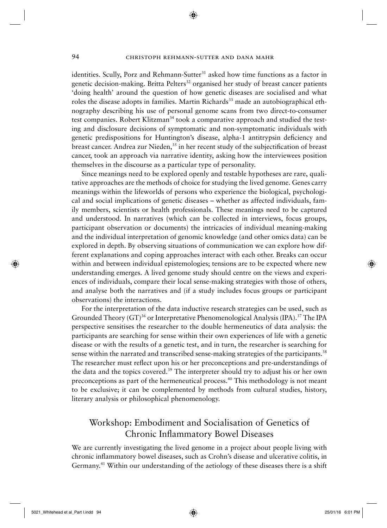◈

identities. Scully, Porz and Rehmann-Sutter<sup>31</sup> asked how time functions as a factor in genetic decision-making. Britta Pelters<sup>32</sup> organised her study of breast cancer patients 'doing health' around the question of how genetic diseases are socialised and what roles the disease adopts in families. Martin Richards<sup>33</sup> made an autobiographical ethnography describing his use of personal genome scans from two direct-to-consumer test companies. Robert Klitzman<sup>34</sup> took a comparative approach and studied the testing and disclosure decisions of symptomatic and non-symptomatic individuals with genetic predispositions for Huntington's disease, alpha-1 antitrypsin deficiency and breast cancer. Andrea zur Nieden, $35$  in her recent study of the subjectification of breast cancer, took an approach via narrative identity, asking how the interviewees position themselves in the discourse as a particular type of personality.

Since meanings need to be explored openly and testable hypotheses are rare, qualitative approaches are the methods of choice for studying the lived genome. Genes carry meanings within the lifeworlds of persons who experience the biological, psychological and social implications of genetic diseases – whether as affected individuals, family members, scientists or health professionals. These meanings need to be captured and understood. In narratives (which can be collected in interviews, focus groups, participant observation or documents) the intricacies of individual meaning-making and the individual interpretation of genomic knowledge (and other omics data) can be explored in depth. By observing situations of communication we can explore how different explanations and coping approaches interact with each other. Breaks can occur within and between individual epistemologies; tensions are to be expected where new understanding emerges. A lived genome study should centre on the views and experiences of individuals, compare their local sense-making strategies with those of others, and analyse both the narratives and (if a study includes focus groups or participant observations) the interactions.

For the interpretation of the data inductive research strategies can be used, such as Grounded Theory  $(GT)^{36}$  or Interpretative Phenomenological Analysis (IPA).<sup>37</sup> The IPA perspective sensitises the researcher to the double hermeneutics of data analysis: the participants are searching for sense within their own experiences of life with a genetic disease or with the results of a genetic test, and in turn, the researcher is searching for sense within the narrated and transcribed sense-making strategies of the participants.<sup>38</sup> The researcher must reflect upon his or her preconceptions and pre-understandings of the data and the topics covered.<sup>39</sup> The interpreter should try to adjust his or her own preconceptions as part of the hermeneutical process.40 This methodology is not meant to be exclusive; it can be complemented by methods from cultural studies, history, literary analysis or philosophical phenomenology.

## Workshop: Embodiment and Socialisation of Genetics of Chronic Inflammatory Bowel Diseases

We are currently investigating the lived genome in a project about people living with chronic inflammatory bowel diseases, such as Crohn's disease and ulcerative colitis, in Germany.<sup>41</sup> Within our understanding of the aetiology of these diseases there is a shift

 $\bigcirc$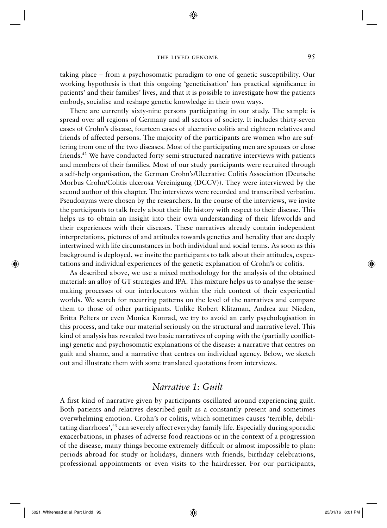◈

taking place – from a psychosomatic paradigm to one of genetic susceptibility. Our working hypothesis is that this ongoing 'geneticisation' has practical significance in patients' and their families' lives, and that it is possible to investigate how the patients embody, socialise and reshape genetic knowledge in their own ways.

There are currently sixty-nine persons participating in our study. The sample is spread over all regions of Germany and all sectors of society. It includes thirty-seven cases of Crohn's disease, fourteen cases of ulcerative colitis and eighteen relatives and friends of affected persons. The majority of the participants are women who are suffering from one of the two diseases. Most of the participating men are spouses or close friends.<sup>42</sup> We have conducted forty semi-structured narrative interviews with patients and members of their families. Most of our study participants were recruited through a self-help organisation, the German Crohn's/Ulcerative Colitis Association (Deutsche Morbus Crohn/Colitis ulcerosa Vereinigung (DCCV)). They were interviewed by the second author of this chapter. The interviews were recorded and transcribed verbatim. Pseudonyms were chosen by the researchers. In the course of the interviews, we invite the participants to talk freely about their life history with respect to their disease. This helps us to obtain an insight into their own understanding of their lifeworlds and their experiences with their diseases. These narratives already contain independent interpretations, pictures of and attitudes towards genetics and heredity that are deeply intertwined with life circumstances in both individual and social terms. As soon as this background is deployed, we invite the participants to talk about their attitudes, expectations and individual experiences of the genetic explanation of Crohn's or colitis.

As described above, we use a mixed methodology for the analysis of the obtained material: an alloy of GT strategies and IPA. This mixture helps us to analyse the sensemaking processes of our interlocutors within the rich context of their experiential worlds. We search for recurring patterns on the level of the narratives and compare them to those of other participants. Unlike Robert Klitzman, Andrea zur Nieden, Britta Pelters or even Monica Konrad, we try to avoid an early psychologisation in this process, and take our material seriously on the structural and narrative level. This kind of analysis has revealed two basic narratives of coping with the (partially conflicting) genetic and psychosomatic explanations of the disease: a narrative that centres on guilt and shame, and a narrative that centres on individual agency. Below, we sketch out and illustrate them with some translated quotations from interviews.

### *Narrative 1: Guilt*

A first kind of narrative given by participants oscillated around experiencing guilt. Both patients and relatives described guilt as a constantly present and sometimes overwhelming emotion. Crohn's or colitis, which sometimes causes 'terrible, debilitating diarrhoea',<sup>43</sup> can severely affect everyday family life. Especially during sporadic exacerbations, in phases of adverse food reactions or in the context of a progression of the disease, many things become extremely difficult or almost impossible to plan: periods abroad for study or holidays, dinners with friends, birthday celebrations, professional appointments or even visits to the hairdresser. For our participants,

 $\bigcirc$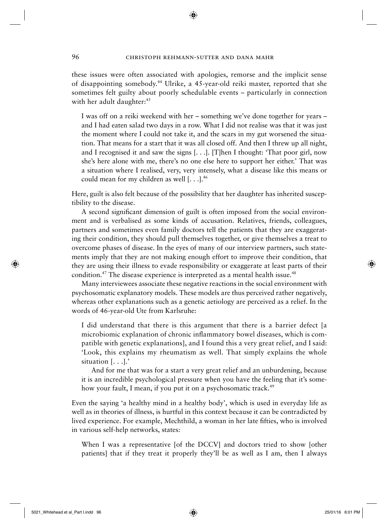### 96 christoph rehmann-sutter and dana mahr

these issues were often associated with apologies, remorse and the implicit sense of disappointing somebody.44 Ulrike, a 45-year-old reiki master, reported that she sometimes felt guilty about poorly schedulable events – particularly in connection with her adult daughter:<sup>45</sup>

◈

I was off on a reiki weekend with her – something we've done together for years – and I had eaten salad two days in a row. What I did not realise was that it was just the moment where I could not take it, and the scars in my gut worsened the situation. That means for a start that it was all closed off. And then I threw up all night, and I recognised it and saw the signs [. . .]. [T]hen I thought: 'That poor girl, now she's here alone with me, there's no one else here to support her either.' That was a situation where I realised, very, very intensely, what a disease like this means or could mean for my children as well  $[...]$ .<sup>46</sup>

Here, guilt is also felt because of the possibility that her daughter has inherited susceptibility to the disease.

A second significant dimension of guilt is often imposed from the social environment and is verbalised as some kinds of accusation. Relatives, friends, colleagues, partners and sometimes even family doctors tell the patients that they are exaggerating their condition, they should pull themselves together, or give themselves a treat to overcome phases of disease. In the eyes of many of our interview partners, such statements imply that they are not making enough effort to improve their condition, that they are using their illness to evade responsibility or exaggerate at least parts of their condition.<sup>47</sup> The disease experience is interpreted as a mental health issue.<sup>48</sup>

Many interviewees associate these negative reactions in the social environment with psychosomatic explanatory models. These models are thus perceived rather negatively, whereas other explanations such as a genetic aetiology are perceived as a relief. In the words of 46-year-old Ute from Karlsruhe:

I did understand that there is this argument that there is a barrier defect [a microbiomic explanation of chronic inflammatory bowel diseases, which is compatible with genetic explanations], and I found this a very great relief, and I said: 'Look, this explains my rheumatism as well. That simply explains the whole situation [. . .].'

And for me that was for a start a very great relief and an unburdening, because it is an incredible psychological pressure when you have the feeling that it's somehow your fault, I mean, if you put it on a psychosomatic track.<sup>49</sup>

Even the saying 'a healthy mind in a healthy body', which is used in everyday life as well as in theories of illness, is hurtful in this context because it can be contradicted by lived experience. For example, Mechthild, a woman in her late fifties, who is involved in various self-help networks, states:

When I was a representative [of the DCCV] and doctors tried to show [other patients] that if they treat it properly they'll be as well as I am, then I always

⊕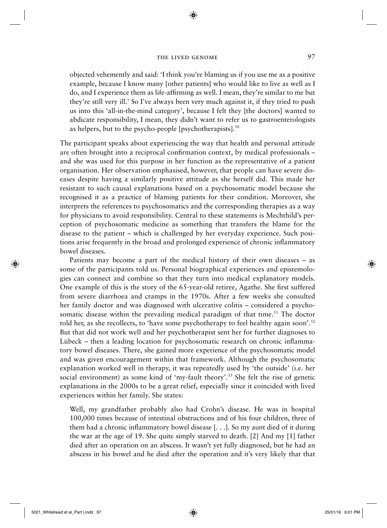◈

objected vehemently and said: 'I think you're blaming us if you use me as a positive example, because I know many [other patients] who would like to live as well as I do, and I experience them as life-affirming as well. I mean, they're similar to me but they're still very ill.' So I've always been very much against it, if they tried to push us into this 'all-in-the-mind category', because I felt they [the doctors] wanted to abdicate responsibility, I mean, they didn't want to refer us to gastroenterologists as helpers, but to the psycho-people [psychotherapists]. $50$ 

The participant speaks about experiencing the way that health and personal attitude are often brought into a reciprocal confirmation context, by medical professionals – and she was used for this purpose in her function as the representative of a patient organisation. Her observation emphasised, however, that people can have severe diseases despite having a similarly positive attitude as she herself did. This made her resistant to such causal explanations based on a psychosomatic model because she recognised it as a practice of blaming patients for their condition. Moreover, she interprets the references to psychosomatics and the corresponding therapies as a way for physicians to avoid responsibility. Central to these statements is Mechthild's perception of psychosomatic medicine as something that transfers the blame for the disease to the patient – which is challenged by her everyday experience. Such positions arise frequently in the broad and prolonged experience of chronic inflammatory bowel diseases.

Patients may become a part of the medical history of their own diseases – as some of the participants told us. Personal biographical experiences and epistemologies can connect and combine so that they turn into medical explanatory models. One example of this is the story of the 65-year-old retiree, Agathe. She first suffered from severe diarrhoea and cramps in the 1970s. After a few weeks she consulted her family doctor and was diagnosed with ulcerative colitis – considered a psychosomatic disease within the prevailing medical paradigm of that time.<sup>51</sup> The doctor told her, as she recollects, to 'have some psychotherapy to feel healthy again soon'.<sup>52</sup> But that did not work well and her psychotherapist sent her for further diagnoses to Lübeck – then a leading location for psychosomatic research on chronic inflammatory bowel diseases. There, she gained more experience of the psychosomatic model and was given encouragement within that framework. Although the psychosomatic explanation worked well in therapy, it was repeatedly used by 'the outside' (i.e. her social environment) as some kind of 'my-fault theory'.<sup>53</sup> She felt the rise of genetic explanations in the 2000s to be a great relief, especially since it coincided with lived experiences within her family. She states:

Well, my grandfather probably also had Crohn's disease. He was in hospital 100,000 times because of intestinal obstructions and of his four children, three of them had a chronic inflammatory bowel disease  $[...]$ . So my aunt died of it during the war at the age of 19. She quite simply starved to death. [2] And my [1] father died after an operation on an abscess. It wasn't yet fully diagnosed, but he had an abscess in his bowel and he died after the operation and it's very likely that that

 $\bigcirc$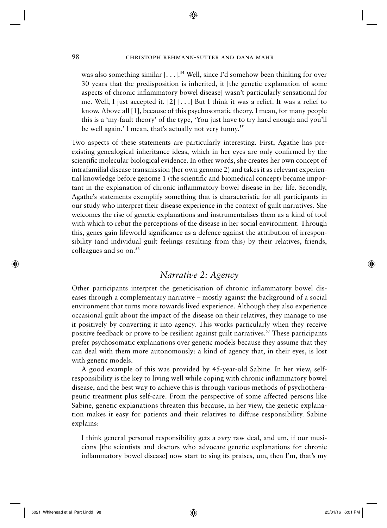◈

was also something similar  $[...]$ .<sup>54</sup> Well, since I'd somehow been thinking for over 30 years that the predisposition is inherited, it [the genetic explanation of some aspects of chronic inflammatory bowel disease] wasn't particularly sensational for me. Well, I just accepted it. [2] [. . .] But I think it was a relief. It was a relief to know. Above all [1], because of this psychosomatic theory, I mean, for many people this is a 'my-fault theory' of the type, 'You just have to try hard enough and you'll be well again.' I mean, that's actually not very funny.<sup>55</sup>

Two aspects of these statements are particularly interesting. First, Agathe has preexisting genealogical inheritance ideas, which in her eyes are only confirmed by the scientific molecular biological evidence. In other words, she creates her own concept of intrafamilial disease transmission (her own genome 2) and takes it as relevant experiential knowledge before genome 1 (the scientific and biomedical concept) became important in the explanation of chronic inflammatory bowel disease in her life. Secondly, Agathe's statements exemplify something that is characteristic for all participants in our study who interpret their disease experience in the context of guilt narratives. She welcomes the rise of genetic explanations and instrumentalises them as a kind of tool with which to rebut the perceptions of the disease in her social environment. Through this, genes gain lifeworld significance as a defence against the attribution of irresponsibility (and individual guilt feelings resulting from this) by their relatives, friends, colleagues and so on.<sup>56</sup>

### *Narrative 2: Agency*

Other participants interpret the geneticisation of chronic inflammatory bowel diseases through a complementary narrative – mostly against the background of a social environment that turns more towards lived experience. Although they also experience occasional guilt about the impact of the disease on their relatives, they manage to use it positively by converting it into agency. This works particularly when they receive positive feedback or prove to be resilient against guilt narratives.<sup>57</sup> These participants prefer psychosomatic explanations over genetic models because they assume that they can deal with them more autonomously: a kind of agency that, in their eyes, is lost with genetic models.

A good example of this was provided by 45-year-old Sabine. In her view, selfresponsibility is the key to living well while coping with chronic inflammatory bowel disease, and the best way to achieve this is through various methods of psychotherapeutic treatment plus self-care. From the perspective of some affected persons like Sabine, genetic explanations threaten this because, in her view, the genetic explanation makes it easy for patients and their relatives to diffuse responsibility. Sabine explains:

I think general personal responsibility gets a *very* raw deal, and um, if our musicians [the scientists and doctors who advocate genetic explanations for chronic inflammatory bowel disease] now start to sing its praises, um, then I'm, that's my

 $\bigcirc$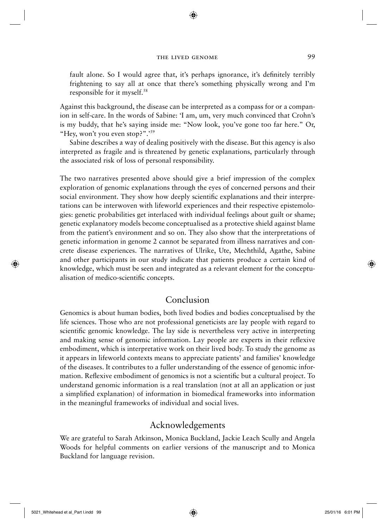⊕

fault alone. So I would agree that, it's perhaps ignorance, it's definitely terribly frightening to say all at once that there's something physically wrong and I'm responsible for it myself.<sup>58</sup>

Against this background, the disease can be interpreted as a compass for or a companion in self-care. In the words of Sabine: 'I am, um, very much convinced that Crohn's is my buddy, that he's saying inside me: "Now look, you've gone too far here." Or, "Hey, won't you even stop?".<sup>59</sup>

Sabine describes a way of dealing positively with the disease. But this agency is also interpreted as fragile and is threatened by genetic explanations, particularly through the associated risk of loss of personal responsibility.

The two narratives presented above should give a brief impression of the complex exploration of genomic explanations through the eyes of concerned persons and their social environment. They show how deeply scientific explanations and their interpretations can be interwoven with lifeworld experiences and their respective epistemologies: genetic probabilities get interlaced with individual feelings about guilt or shame; genetic explanatory models become conceptualised as a protective shield against blame from the patient's environment and so on. They also show that the interpretations of genetic information in genome 2 cannot be separated from illness narratives and concrete disease experiences. The narratives of Ulrike, Ute, Mechthild, Agathe, Sabine and other participants in our study indicate that patients produce a certain kind of knowledge, which must be seen and integrated as a relevant element for the conceptualisation of medico-scientific concepts.

### Conclusion

Genomics is about human bodies, both lived bodies and bodies conceptualised by the life sciences. Those who are not professional geneticists are lay people with regard to scientific genomic knowledge. The lay side is nevertheless very active in interpreting and making sense of genomic information. Lay people are experts in their reflexive embodiment, which is interpretative work on their lived body. To study the genome as it appears in lifeworld contexts means to appreciate patients' and families' knowledge of the diseases. It contributes to a fuller understanding of the essence of genomic information. Reflexive embodiment of genomics is not a scientific but a cultural project. To understand genomic information is a real translation (not at all an application or just a simplified explanation) of information in biomedical frameworks into information in the meaningful frameworks of individual and social lives.

### Acknowledgements

We are grateful to Sarah Atkinson, Monica Buckland, Jackie Leach Scully and Angela Woods for helpful comments on earlier versions of the manuscript and to Monica Buckland for language revision.

5021\_Whitehead et al\_Part I.indd 99 25/01/16 6:01 PM 5/01/16 6:01 PM 5/01/16 6:01 PM 5/01/16 99

 $\bigcirc$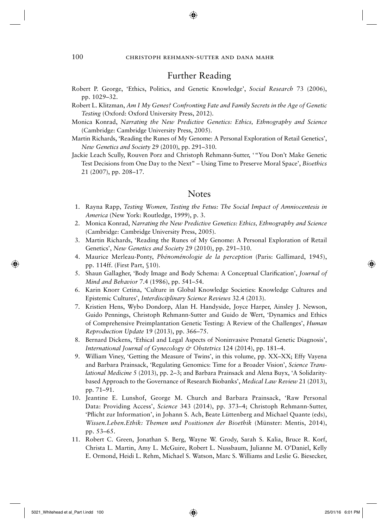◈

### Further Reading

- Robert P. George, 'Ethics, Politics, and Genetic Knowledge', *Social Research* 73 (2006), pp. 1029–32.
- Robert L. Klitzman, *Am I My Genes? Confronting Fate and Family Secrets in the Age of Genetic Testing* (Oxford: Oxford University Press, 2012).
- Monica Konrad, *Narrating the New Predictive Genetics: Ethics, Ethnography and Science*  (Cambridge: Cambridge University Press, 2005).
- Martin Richards, 'Reading the Runes of My Genome: A Personal Exploration of Retail Genetics', *New Genetics and Society* 29 (2010), pp. 291–310.
- Jackie Leach Scully, Rouven Porz and Christoph Rehmann-Sutter, ' "You Don't Make Genetic Test Decisions from One Day to the Next" – Using Time to Preserve Moral Space', *Bioethics* 21 (2007), pp. 208–17.

### **Notes**

- 1. Rayna Rapp, *Testing Women, Testing the Fetus: The Social Impact of Amniocentesis in America* (New York: Routledge, 1999), p. 3.
- 2. Monica Konrad, *Narrating the New Predictive Genetics: Ethics, Ethnography and Science*  (Cambridge: Cambridge University Press, 2005).
- 3. Martin Richards, 'Reading the Runes of My Genome: A Personal Exploration of Retail Genetics', *New Genetics and Society* 29 (2010), pp. 291–310.
- 4. Maurice Merleau-Ponty, *Phénoménologie de la perception* (Paris: Gallimard, 1945), pp. 114ff. (First Part, §10).
- 5. Shaun Gallagher, 'Body Image and Body Schema: A Conceptual Clarification', *Journal of Mind and Behavior* 7.4 (1986), pp. 541–54.
- 6. Karin Knorr Cetina, 'Culture in Global Knowledge Societies: Knowledge Cultures and Epistemic Cultures', *Interdisciplinary Science Reviews* 32.4 (2013).
- 7. Kristien Hens, Wybo Dondorp, Alan H. Handyside, Joyce Harper, Ainsley J. Newson, Guido Pennings, Christoph Rehmann-Sutter and Guido de Wert, 'Dynamics and Ethics of Comprehensive Preimplantation Genetic Testing: A Review of the Challenges', *Human Reproduction Update* 19 (2013), pp. 366–75.
- 8. Bernard Dickens, 'Ethical and Legal Aspects of Noninvasive Prenatal Genetic Diagnosis', *International Journal of Gynecology & Obstetrics* 124 (2014), pp. 181–4.
- 9. William Viney, 'Getting the Measure of Twins', in this volume, pp. XX–XX; Effy Vayena and Barbara Prainsack, 'Regulating Genomics: Time for a Broader Vision', *Science Translational Medicine* 5 (2013), pp. 2–3; and Barbara Prainsack and Alena Buyx, 'A Solidaritybased Approach to the Governance of Research Biobanks', *Medical Law Review* 21 (2013), pp. 71–91.
- 10. Jeantine E. Lunshof, George M. Church and Barbara Prainsack, 'Raw Personal Data: Providing Access', *Science* 343 (2014), pp. 373–4; Christoph Rehmann-Sutter, 'Pflicht zur Information', in Johann S. Ach, Beate Lüttenberg and Michael Quante (eds), *Wissen.Leben.Ethik: Themen und Positionen der Bioethik* (Münster: Mentis, 2014), pp. 53–65.
- 11. Robert C. Green, Jonathan S. Berg, Wayne W. Grody, Sarah S. Kalia, Bruce R. Korf, Christa L. Martin, Amy L. McGuire, Robert L. Nussbaum, Julianne M. O'Daniel, Kelly E. Ormond, Heidi L. Rehm, Michael S. Watson, Marc S. Williams and Leslie G. Biesecker,

 $\textcolor{blue}{\textcircled{\star}}$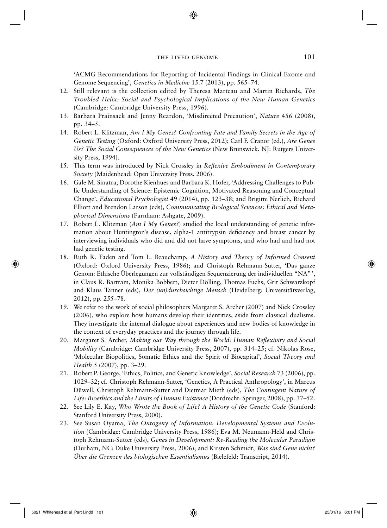◈

'ACMG Recommendations for Reporting of Incidental Findings in Clinical Exome and Genome Sequencing', *Genetics in Medicine* 15.7 (2013), pp. 565–74.

- 12. Still relevant is the collection edited by Theresa Marteau and Martin Richards, *The Troubled Helix: Social and Psychological Implications of the New Human Genetics*  (Cambridge: Cambridge University Press, 1996).
- 13. Barbara Prainsack and Jenny Reardon, 'Misdirected Precaution', *Nature* 456 (2008), pp. 34–5.
- 14. Robert L. Klitzman, *Am I My Genes? Confronting Fate and Family Secrets in the Age of Genetic Testing* (Oxford: Oxford University Press, 2012); Carl F. Cranor (ed.), *Are Genes Us? The Social Consequences of the New Genetics* (New Brunswick, NJ: Rutgers University Press, 1994).
- 15. This term was introduced by Nick Crossley in *Reflexive Embodiment in Contemporary Society* (Maidenhead: Open University Press, 2006).
- 16. Gale M. Sinatra, Dorothe Kienhues and Barbara K. Hofer, 'Addressing Challenges to Public Understanding of Science: Epistemic Cognition, Motivated Reasoning and Conceptual Change', *Educational Psychologist* 49 (2014), pp. 123–38; and Brigitte Nerlich, Richard Elliott and Brendon Larson (eds), *Communicating Biological Sciences*: *Ethical and Metaphorical Dimensions* (Farnham: Ashgate, 2009).
- 17. Robert L. Klitzman (*Am I My Genes?*) studied the local understanding of genetic information about Huntington's disease, alpha-1 antitrypsin deficiency and breast cancer by interviewing individuals who did and did not have symptoms, and who had and had not had genetic testing.
- 18. Ruth R. Faden and Tom L. Beauchamp, *A History and Theory of Informed Consent* (Oxford: Oxford University Press, 1986); and Christoph Rehmann-Sutter, 'Das ganze Genom: Ethische Überlegungen zur vollständigen Sequenzierung der individuellen "NA" ', in Claus R. Bartram, Monika Bobbert, Dieter Dölling, Thomas Fuchs, Grit Schwarzkopf and Klaus Tanner (eds), *Der (un)durchsichtige Mensch* (Heidelberg: Universitätsverlag, 2012), pp. 255–78.
- 19. We refer to the work of social philosophers Margaret S. Archer (2007) and Nick Crossley (2006), who explore how humans develop their identities, aside from classical dualisms. They investigate the internal dialogue about experiences and new bodies of knowledge in the context of everyday practices and the journey through life.
- 20. Margaret S. Archer, *Making our Way through the World: Human Reflexivity and Social Mobility* (Cambridge: Cambridge University Press, 2007), pp. 314–25; cf. Nikolas Rose, 'Molecular Biopolitics, Somatic Ethics and the Spirit of Biocapital', *Social Theory and Health* 5 (2007), pp. 3–29.
- 21. Robert P. George, 'Ethics, Politics, and Genetic Knowledge', *Social Research* 73 (2006), pp. 1029–32; cf. Christoph Rehmann-Sutter, 'Genetics, A Practical Anthropology', in Marcus Düwell, Christoph Rehmann-Sutter and Dietmar Mieth (eds), *The Contingent Nature of Life: Bioethics and the Limits of Human Existence* (Dordrecht: Springer, 2008), pp. 37–52.
- 22. See Lily E. Kay, *Who Wrote the Book of Life? A History of the Genetic Code* (Stanford: Stanford University Press, 2000).
- 23. See Susan Oyama, *The Ontogeny of Information: Developmental Systems and Evolution* (Cambridge: Cambridge University Press, 1986); Eva M. Neumann-Held and Christoph Rehmann-Sutter (eds), *Genes in Development: Re-Reading the Molecular Paradigm* (Durham, NC: Duke University Press, 2006); and Kirsten Schmidt, *Was sind Gene nicht? Über die Grenzen des biologischen Essentialismus* (Bielefeld: Transcript, 2014).

 $\textcolor{blue}{\textcircled{\star}}$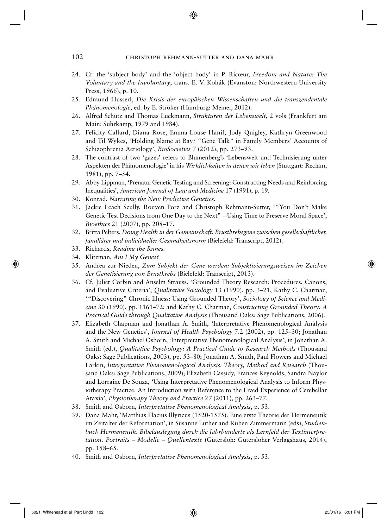24. Cf. the 'subject body' and the 'object body' in P. Ricœur, *Freedom and Nature: The Voluntary and the Involuntary*, trans. E. V. Kohák (Evanston: Northwestern University Press, 1966), p. 10.

◈

- 25. Edmund Husserl, *Die Krisis der europäischen Wissenschaften und die transzendentale Phänomenologie*, ed. by E. Ströker (Hamburg: Meiner, 2012).
- 26. Alfred Schütz and Thomas Luckmann, *Strukturen der Lebenswelt*, 2 vols (Frankfurt am Main: Suhrkamp, 1979 and 1984).
- 27. Felicity Callard, Diana Rose, Emma-Louse Hanif, Jody Quigley, Kathryn Greenwood and Til Wykes, 'Holding Blame at Bay? "Gene Talk" in Family Members' Accounts of Schizophrenia Aetiology', *BioSocieties* 7 (2012), pp. 273–93.
- 28. The contrast of two 'gazes' refers to Blumenberg's 'Lebenswelt und Technisierung unter Aspekten der Phänomenologie' in his *Wirklichkeiten in denen wir leben* (Stuttgart: Reclam, 1981), pp. 7–54.
- 29. Abby Lippman, 'Prenatal Genetic Testing and Screening: Constructing Needs and Reinforcing Inequalities', *American Journal of Law and Medicine* 17 (1991), p. 19.
- 30. Konrad, *Narrating the New Predictive Genetics.*
- 31. Jackie Leach Scully, Rouven Porz and Christoph Rehmann-Sutter, ' "You Don't Make Genetic Test Decisions from One Day to the Next" – Using Time to Preserve Moral Space', *Bioethics* 21 (2007), pp. 208–17.
- 32. Britta Pelters, *Doing Health in der Gemeinschaft. Brustkrebsgene zwischen gesellschaftlicher, familiärer und individueller Gesundheitsnorm* (Bielefeld: Transcript, 2012).
- 33. Richards, *Reading the Runes.*
- 34. Klitzman, *Am I My Genes?*

 $\textcolor{blue}{\textcircled{\star}}$ 

- 35. Andrea zur Nieden, *Zum Subjekt der Gene werden: Subjektivierungsweisen im Zeichen der Genetisierung von Brustkrebs* (Bielefeld: Transcript, 2013).
- 36. Cf. Juliet Corbin and Anselm Strauss, 'Grounded Theory Research: Procedures, Canons, and Evaluative Criteria', *Qualitative Sociology* 13 (1990), pp. 3–21; Kathy C. Charmaz, ' "Discovering" Chronic Illness: Using Grounded Theory', *Sociology of Science and Medicine* 30 (1990), pp. 1161–72; and Kathy C. Charmaz, *Constructing Grounded Theory: A Practical Guide through Qualitative Analysis* (Thousand Oaks: Sage Publications, 2006).
- 37. Elizabeth Chapman and Jonathan A. Smith, 'Interpretative Phenomenological Analysis and the New Genetics', *Journal of Health Psychology* 7.2 (2002), pp. 125–30; Jonathan A. Smith and Michael Osborn, 'Interpretative Phenomenological Analysis', in Jonathan A. Smith (ed.), *Qualitative Psychology: A Practical Guide to Research Methods* (Thousand Oaks: Sage Publications, 2003), pp. 53–80; Jonathan A. Smith, Paul Flowers and Michael Larkin, *Interpretative Phenomenological Analysis: Theory, Method and Research* (Thousand Oaks: Sage Publications, 2009); Elizabeth Cassidy, Frances Reynolds, Sandra Naylor and Lorraine De Souza, 'Using Interpretative Phenomenological Analysis to Inform Physiotherapy Practice: An Introduction with Reference to the Lived Experience of Cerebellar Ataxia', *Physiotherapy Theory and Practice* 27 (2011), pp. 263–77.
- 38. Smith and Osborn, *Interpretative Phenomenological Analysis*, p. 53.
- 39. Dana Mahr, 'Matthias Flacius Illyricus (1520-1575). Eine erste Theorie der Hermeneutik im Zeitalter der Reformation', in Susanne Luther and Ruben Zimmermann (eds), *Studienbuch Hermeneutik. Bibelauslegung durch die Jahrhunderte als Lernfeld der Textinterpretation. Portraits – Modelle – Quellentexte* (Gütersloh: Gütersloher Verlagshaus, 2014), pp. 158–65.
- 40. Smith and Osborn, *Interpretative Phenomenological Analysis*, p. 53.